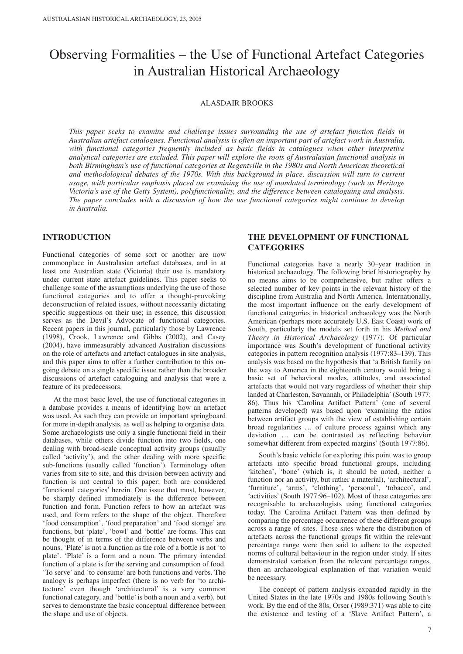# Observing Formalities – the Use of Functional Artefact Categories in Australian Historical Archaeology

#### ALASDAIR BROOKS

*This paper seeks to examine and challenge issues surrounding the use of artefact function fields in Australian artefact catalogues. Functional analysis is often an important part of artefact work in Australia, with functional categories frequently included as basic fields in catalogues when other interpretive analytical categories are excluded. This paper will explore the roots of Australasian functional analysis in both Birmingham's use of functional categories at Regentville in the 1980s and North American theoretical and methodological debates of the 1970s. With this background in place, discussion will turn to current usage, with particular emphasis placed on examining the use of mandated terminology (such as Heritage Victoria's use of the Getty System), polyfunctionality, and the difference between cataloguing and analysis. The paper concludes with a discussion of how the use functional categories might continue to develop in Australia.*

#### **INTRODUCTION**

Functional categories of some sort or another are now commonplace in Australasian artefact databases, and in at least one Australian state (Victoria) their use is mandatory under current state artefact guidelines. This paper seeks to challenge some of the assumptions underlying the use of those functional categories and to offer a thought-provoking deconstruction of related issues, without necessarily dictating specific suggestions on their use; in essence, this discussion serves as the Devil's Advocate of functional categories. Recent papers in this journal, particularly those by Lawrence (1998), Crook, Lawrence and Gibbs (2002), and Casey (2004), have immeasurably advanced Australian discussions on the role of artefacts and artefact catalogues in site analysis, and this paper aims to offer a further contribution to this ongoing debate on a single specific issue rather than the broader discussions of artefact cataloguing and analysis that were a feature of its predecessors.

At the most basic level, the use of functional categories in a database provides a means of identifying how an artefact was used. As such they can provide an important springboard for more in-depth analysis, as well as helping to organise data. Some archaeologists use only a single functional field in their databases, while others divide function into two fields, one dealing with broad-scale conceptual activity groups (usually called 'activity'), and the other dealing with more specific sub-functions (usually called 'function'). Terminology often varies from site to site, and this division between activity and function is not central to this paper; both are considered 'functional categories' herein. One issue that must, however, be sharply defined immediately is the difference between function and form. Function refers to how an artefact was used, and form refers to the shape of the object. Therefore 'food consumption', 'food preparation' and 'food storage' are functions, but 'plate', 'bowl' and 'bottle' are forms. This can be thought of in terms of the difference between verbs and nouns. 'Plate' is not a function as the role of a bottle is not 'to plate'. 'Plate' is a form and a noun. The primary intended function of a plate is for the serving and consumption of food. 'To serve' and 'to consume' are both functions and verbs. The analogy is perhaps imperfect (there is no verb for 'to architecture' even though 'architectural' is a very common functional category, and 'bottle' is both a noun and a verb), but serves to demonstrate the basic conceptual difference between the shape and use of objects.

# **THE DEVELOPMENT OF FUNCTIONAL CATEGORIES**

Functional categories have a nearly 30–year tradition in historical archaeology. The following brief historiography by no means aims to be comprehensive, but rather offers a selected number of key points in the relevant history of the discipline from Australia and North America. Internationally, the most important influence on the early development of functional categories in historical archaeology was the North American (perhaps more accurately U.S. East Coast) work of South, particularly the models set forth in his *Method and Theory in Historical Archaeology* (1977). Of particular importance was South's development of functional activity categories in pattern recognition analysis (1977:83–139). This analysis was based on the hypothesis that 'a British family on the way to America in the eighteenth century would bring a basic set of behavioral modes, attitudes, and associated artefacts that would not vary regardless of whether their ship landed at Charleston, Savannah, or Philadelphia' (South 1977: 86). Thus his 'Carolina Artifact Pattern' (one of several patterns developed) was based upon 'examining the ratios between artifact groups with the view of establishing certain broad regularities … of culture process against which any deviation … can be contrasted as reflecting behavior somewhat different from expected margins' (South 1977:86).

South's basic vehicle for exploring this point was to group artefacts into specific broad functional groups, including 'kitchen', 'bone' (which is, it should be noted, neither a function nor an activity, but rather a material), 'architectural', 'furniture', 'arms', 'clothing', 'personal', 'tobacco', and 'activities' (South 1977:96–102). Most of these categories are recognisable to archaeologists using functional categories today. The Carolina Artifact Pattern was then defined by comparing the percentage occurrence of these different groups across a range of sites. Those sites where the distribution of artefacts across the functional groups fit within the relevant percentage range were then said to adhere to the expected norms of cultural behaviour in the region under study. If sites demonstrated variation from the relevant percentage ranges, then an archaeological explanation of that variation would be necessary.

The concept of pattern analysis expanded rapidly in the United States in the late 1970s and 1980s following South's work. By the end of the 80s, Orser (1989:371) was able to cite the existence and testing of a 'Slave Artifact Pattern', a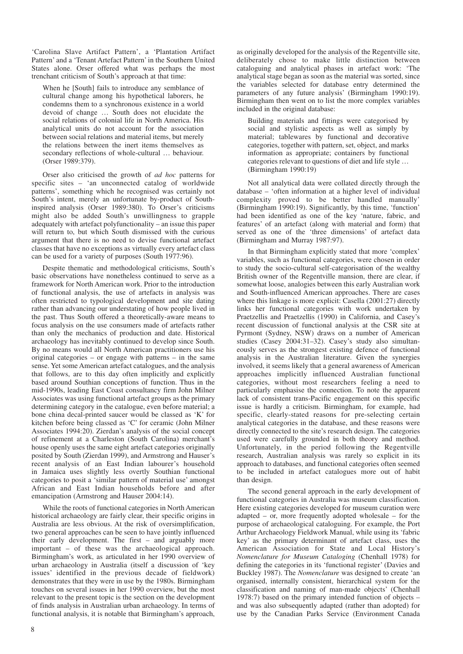'Carolina Slave Artifact Pattern', a 'Plantation Artifact Pattern' and a 'Tenant Artefact Pattern' in the Southern United States alone. Orser offered what was perhaps the most trenchant criticism of South's approach at that time:

When he [South] fails to introduce any semblance of cultural change among his hypothetical laborers, he condemns them to a synchronous existence in a world devoid of change … South does not elucidate the social relations of colonial life in North America. His analytical units do not account for the association between social relations and material items, but merely the relations between the inert items themselves as secondary reflections of whole-cultural … behaviour. (Orser 1989:379).

Orser also criticised the growth of *ad hoc* patterns for specific sites – 'an unconnected catalog of worldwide patterns', something which he recognised was certainly not South's intent, merely an unfortunate by-product of Southinspired analysis (Orser 1989:380). To Orser's criticisms might also be added South's unwillingness to grapple adequately with artefact polyfunctionality – an issue this paper will return to, but which South dismissed with the curious argument that there is no need to devise functional artefact classes that have no exceptions as virtually every artefact class can be used for a variety of purposes (South 1977:96).

Despite thematic and methodological criticisms, South's basic observations have nonetheless continued to serve as a framework for North American work. Prior to the introduction of functional analysis, the use of artefacts in analysis was often restricted to typological development and site dating rather than advancing our understating of how people lived in the past. Thus South offered a theoretically-aware means to focus analysis on the use consumers made of artefacts rather than only the mechanics of production and date. Historical archaeology has inevitably continued to develop since South. By no means would all North American practitioners use his original categories – or engage with patterns – in the same sense. Yet some American artefact catalogues, and the analysis that follows, are to this day often implicitly and explicitly based around Southian conceptions of function. Thus in the mid-1990s, leading East Coast consultancy firm John Milner Associates was using functional artefact groups as the primary determining category in the catalogue, even before material; a bone china decal-printed saucer would be classed as 'K' for kitchen before being classed as 'C' for ceramic (John Milner Associates 1994:20). Zierdan's analysis of the social concept of refinement at a Charleston (South Carolina) merchant's house openly uses the same eight artefact categories originally posited by South (Zierdan 1999), and Armstrong and Hauser's recent analysis of an East Indian labourer's household in Jamaica uses slightly less overtly Southian functional categories to posit a 'similar pattern of material use' amongst African and East Indian households before and after emancipation (Armstrong and Hauser 2004:14).

While the roots of functional categories in North American historical archaeology are fairly clear, their specific origins in Australia are less obvious. At the risk of oversimplification, two general approaches can be seen to have jointly influenced their early development. The first – and arguably more important – of these was the archaeological approach. Birmingham's work, as articulated in her 1990 overview of urban archaeology in Australia (itself a discussion of 'key issues' identified in the previous decade of fieldwork) demonstrates that they were in use by the 1980s. Birmingham touches on several issues in her 1990 overview, but the most relevant to the present topic is the section on the development of finds analysis in Australian urban archaeology. In terms of functional analysis, it is notable that Birmingham's approach, as originally developed for the analysis of the Regentville site, deliberately chose to make little distinction between cataloguing and analytical phases in artefact work: 'The analytical stage began as soon as the material was sorted, since the variables selected for database entry determined the parameters of any future analysis' (Birmingham 1990:19). Birmingham then went on to list the more complex variables included in the original database:

Building materials and fittings were categorised by social and stylistic aspects as well as simply by material; tablewares by functional and decorative categories, together with pattern, set, object, and marks information as appropriate; containers by functional categories relevant to questions of diet and life style … (Birmingham 1990:19)

Not all analytical data were collated directly through the database – 'often information at a higher level of individual complexity proved to be better handled manually' (Birmingham 1990:19). Significantly, by this time, 'function' had been identified as one of the key 'nature, fabric, and features' of an artefact (along with material and form) that served as one of the 'three dimensions' of artefact data (Birmingham and Murray 1987:97).

In that Birmingham explicitly stated that more 'complex' variables, such as functional categories, were chosen in order to study the socio-cultural self-categorisation of the wealthy British owner of the Regentville mansion, there are clear, if somewhat loose, analogies between this early Australian work and South-influenced American approaches. There are cases where this linkage is more explicit: Casella (2001:27) directly links her functional categories with work undertaken by Praetzellis and Praetzellis (1990) in California, and Casey's recent discussion of functional analysis at the CSR site at Pyrmont (Sydney, NSW) draws on a number of American studies (Casey 2004:31–32). Casey's study also simultaneously serves as the strongest existing defence of functional analysis in the Australian literature. Given the synergies involved, it seems likely that a general awareness of American approaches implicitly influenced Australian functional categories, without most researchers feeling a need to particularly emphasise the connection. To note the apparent lack of consistent trans-Pacific engagement on this specific issue is hardly a criticism. Birmingham, for example, had specific, clearly-stated reasons for pre-selecting certain analytical categories in the database, and these reasons were directly connected to the site's research design. The categories used were carefully grounded in both theory and method. Unfortunately, in the period following the Regentville research, Australian analysis was rarely so explicit in its approach to databases, and functional categories often seemed to be included in artefact catalogues more out of habit than design.

The second general approach in the early development of functional categories in Australia was museum classification. Here existing categories developed for museum curation were adapted – or, more frequently adopted wholesale – for the purpose of archaeological cataloguing. For example, the Port Arthur Archaeology Fieldwork Manual, while using its 'fabric key' as the primary determinant of artefact class, uses the American Association for State and Local History's *Nomenclature for Museum Cataloging* (Chenhall 1978) for defining the categories in its 'functional register' (Davies and Buckley 1987). The *Nomenclature* was designed to create 'an organised, internally consistent, hierarchical system for the classification and naming of man-made objects' (Chenhall 1978:7) based on the primary intended function of objects – and was also subsequently adapted (rather than adopted) for use by the Canadian Parks Service (Environment Canada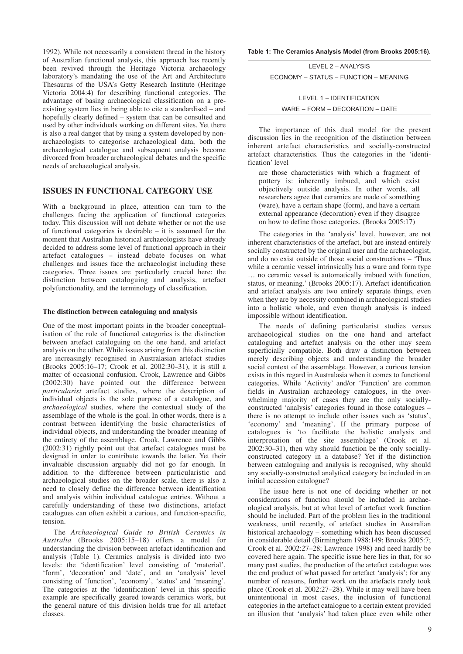1992). While not necessarily a consistent thread in the history of Australian functional analysis, this approach has recently been revived through the Heritage Victoria archaeology laboratory's mandating the use of the Art and Architecture Thesaurus of the USA's Getty Research Institute (Heritage Victoria 2004:4) for describing functional categories. The advantage of basing archaeological classification on a preexisting system lies in being able to cite a standardised – and hopefully clearly defined – system that can be consulted and used by other individuals working on different sites. Yet there is also a real danger that by using a system developed by nonarchaeologists to categorise archaeological data, both the archaeological catalogue and subsequent analysis become divorced from broader archaeological debates and the specific needs of archaeological analysis.

## **ISSUES IN FUNCTIONAL CATEGORY USE**

With a background in place, attention can turn to the challenges facing the application of functional categories today. This discussion will not debate whether or not the use of functional categories is desirable – it is assumed for the moment that Australian historical archaeologists have already decided to address some level of functional approach in their artefact catalogues – instead debate focuses on what challenges and issues face the archaeologist including these categories. Three issues are particularly crucial here: the distinction between cataloguing and analysis, artefact polyfunctionality, and the terminology of classification.

#### **The distinction between cataloguing and analysis**

One of the most important points in the broader conceptualisation of the role of functional categories is the distinction between artefact cataloguing on the one hand, and artefact analysis on the other. While issues arising from this distinction are increasingly recognised in Australasian artefact studies (Brooks 2005:16–17; Crook et al. 2002:30–31), it is still a matter of occasional confusion. Crook, Lawrence and Gibbs (2002:30) have pointed out the difference between *particularist* artefact studies, where the description of individual objects is the sole purpose of a catalogue, and *archaeological* studies, where the contextual study of the assemblage of the whole is the goal. In other words, there is a contrast between identifying the basic characteristics of individual objects, and understanding the broader meaning of the entirety of the assemblage. Crook, Lawrence and Gibbs (2002:31) rightly point out that artefact catalogues must be designed in order to contribute towards the latter. Yet their invaluable discussion arguably did not go far enough. In addition to the difference between particularistic and archaeological studies on the broader scale, there is also a need to closely define the difference between identification and analysis within individual catalogue entries. Without a carefully understanding of these two distinctions, artefact catalogues can often exhibit a curious, and function-specific, tension.

The *Archaeological Guide to British Ceramics in Australia* (Brooks 2005:15–18) offers a model for understanding the division between artefact identification and analysis (Table 1). Ceramics analysis is divided into two levels: the 'identification' level consisting of 'material', 'form', 'decoration' and 'date', and an 'analysis' level consisting of 'function', 'economy', 'status' and 'meaning'. The categories at the 'identification' level in this specific example are specifically geared towards ceramics work, but the general nature of this division holds true for all artefact classes.

**Table 1: The Ceramics Analysis Model (from Brooks 2005:16).**

LEVEL 2 – ANALYSIS ECONOMY – STATUS – FUNCTION – MEANING

LEVEL 1 – IDENTIFICATION WARE – FORM – DECORATION – DATE

The importance of this dual model for the present discussion lies in the recognition of the distinction between inherent artefact characteristics and socially-constructed artefact characteristics. Thus the categories in the 'identification' level

are those characteristics with which a fragment of pottery is: inherently imbued, and which exist objectively outside analysis. In other words, all researchers agree that ceramics are made of something (ware), have a certain shape (form), and have a certain external appearance (decoration) even if they disagree on how to define those categories. (Brooks 2005:17)

The categories in the 'analysis' level, however, are not inherent characteristics of the artefact, but are instead entirely socially constructed by the original user and the archaeologist, and do no exist outside of those social constructions – 'Thus while a ceramic vessel intrinsically has a ware and form type … no ceramic vessel is automatically imbued with function, status, or meaning.' (Brooks 2005:17). Artefact identification and artefact analysis are two entirely separate things, even when they are by necessity combined in archaeological studies into a holistic whole, and even though analysis is indeed impossible without identification.

The needs of defining particularist studies versus archaeological studies on the one hand and artefact cataloguing and artefact analysis on the other may seem superficially compatible. Both draw a distinction between merely describing objects and understanding the broader social context of the assemblage. However, a curious tension exists in this regard in Australasia when it comes to functional categories. While 'Activity' and/or 'Function' are common fields in Australian archaeology catalogues, in the overwhelming majority of cases they are the only sociallyconstructed 'analysis' categories found in those catalogues – there is no attempt to include other issues such as 'status', 'economy' and 'meaning'. If the primary purpose of catalogues is 'to facilitate the holistic analysis and interpretation of the site assemblage' (Crook et al.  $2002:30-31$ , then why should function be the only sociallyconstructed category in a database? Yet if the distinction between cataloguing and analysis is recognised, why should any socially-constructed analytical category be included in an initial accession catalogue?

The issue here is not one of deciding whether or not considerations of function should be included in archaeological analysis, but at what level of artefact work function should be included. Part of the problem lies in the traditional weakness, until recently, of artefact studies in Australian historical archaeology – something which has been discussed in considerable detail (Birmingham 1988:149; Brooks 2005:7; Crook et al. 2002:27–28; Lawrence 1998) and need hardly be covered here again. The specific issue here lies in that, for so many past studies, the production of the artefact catalogue was the end product of what passed for artefact 'analysis'; for any number of reasons, further work on the artefacts rarely took place (Crook et al. 2002:27–28). While it may well have been unintentional in most cases, the inclusion of functional categories in the artefact catalogue to a certain extent provided an illusion that 'analysis' had taken place even while other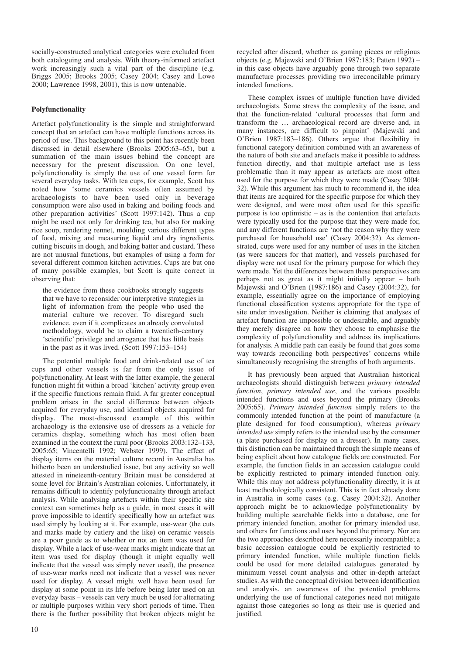socially-constructed analytical categories were excluded from both cataloguing and analysis. With theory-informed artefact work increasingly such a vital part of the discipline (e.g. Briggs 2005; Brooks 2005; Casey 2004; Casey and Lowe 2000; Lawrence 1998, 2001), this is now untenable.

## **Polyfunctionality**

Artefact polyfunctionality is the simple and straightforward concept that an artefact can have multiple functions across its period of use. This background to this point has recently been discussed in detail elsewhere (Brooks 2005:63–65), but a summation of the main issues behind the concept are necessary for the present discussion. On one level, polyfunctionality is simply the use of one vessel form for several everyday tasks. With tea cups, for example, Scott has noted how 'some ceramics vessels often assumed by archaeologists to have been used only in beverage consumption were also used in baking and boiling foods and other preparation activities' (Scott 1997:142). Thus a cup might be used not only for drinking tea, but also for making rice soup, rendering rennet, moulding various different types of food, mixing and measuring liquid and dry ingredients, cutting biscuits in dough, and baking batter and custard. These are not unusual functions, but examples of using a form for several different common kitchen activities. Cups are but one of many possible examples, but Scott is quite correct in observing that:

the evidence from these cookbooks strongly suggests that we have to reconsider our interpretive strategies in light of information from the people who used the material culture we recover. To disregard such evidence, even if it complicates an already convoluted methodology, would be to claim a twentieth-century 'scientific' privilege and arrogance that has little basis in the past as it was lived. (Scott 1997:153–154)

The potential multiple food and drink-related use of tea cups and other vessels is far from the only issue of polyfunctionality. At least with the latter example, the general function might fit within a broad 'kitchen' activity group even if the specific functions remain fluid. A far greater conceptual problem arises in the social difference between objects acquired for everyday use, and identical objects acquired for display. The most-discussed example of this within archaeology is the extensive use of dressers as a vehicle for ceramics display, something which has most often been examined in the context the rural poor (Brooks 2003:132–133, 2005:65; Vincentelli 1992; Webster 1999). The effect of display items on the material culture record in Australia has hitherto been an understudied issue, but any activity so well attested in nineteenth-century Britain must be considered at some level for Britain's Australian colonies. Unfortunately, it remains difficult to identify polyfunctionality through artefact analysis. While analysing artefacts within their specific site context can sometimes help as a guide, in most cases it will prove impossible to identify specifically how an artefact was used simply by looking at it. For example, use-wear (the cuts and marks made by cutlery and the like) on ceramic vessels are a poor guide as to whether or not an item was used for display. While a lack of use-wear marks might indicate that an item was used for display (though it might equally well indicate that the vessel was simply never used), the presence of use-wear marks need not indicate that a vessel was never used for display. A vessel might well have been used for display at some point in its life before being later used on an everyday basis – vessels can very much be used for alternating or multiple purposes within very short periods of time. Then there is the further possibility that broken objects might be recycled after discard, whether as gaming pieces or religious objects (e.g. Majewski and O'Brien 1987:183; Patten 1992) – in this case objects have arguably gone through two separate manufacture processes providing two irreconcilable primary intended functions.

These complex issues of multiple function have divided archaeologists. Some stress the complexity of the issue, and that the function-related 'cultural processes that form and transform the … archaeological record are diverse and, in many instances, are difficult to pinpoint' (Majewski and O'Brien 1987:183–186). Others argue that flexibility in functional category definition combined with an awareness of the nature of both site and artefacts make it possible to address function directly, and that multiple artefact use is less problematic than it may appear as artefacts are most often used for the purpose for which they were made (Casey 2004: 32). While this argument has much to recommend it, the idea that items are acquired for the specific purpose for which they were designed, and were most often used for this specific purpose is too optimistic – as is the contention that artefacts were typically used for the purpose that they were made for, and any different functions are 'not the reason why they were purchased for household use' (Casey 2004:32). As demonstrated, cups were used for any number of uses in the kitchen (as were saucers for that matter), and vessels purchased for display were not used for the primary purpose for which they were made. Yet the differences between these perspectives are perhaps not as great as it might initially appear – both Majewski and O'Brien (1987:186) and Casey (2004:32), for example, essentially agree on the importance of employing functional classification systems appropriate for the type of site under investigation. Neither is claiming that analyses of artefact function are impossible or undesirable, and arguably they merely disagree on how they choose to emphasise the complexity of polyfunctionality and address its implications for analysis. A middle path can easily be found that goes some way towards reconciling both perspectives' concerns while simultaneously recognising the strengths of both arguments.

It has previously been argued that Australian historical archaeologists should distinguish between *primary intended function*, *primary intended use*, and the various possible intended functions and uses beyond the primary (Brooks 2005:65). *Primary intended function* simply refers to the commonly intended function at the point of manufacture (a plate designed for food consumption), whereas *primary intended use* simply refers to the intended use by the consumer (a plate purchased for display on a dresser). In many cases, this distinction can be maintained through the simple means of being explicit about how catalogue fields are constructed. For example, the function fields in an accession catalogue could be explicitly restricted to primary intended function only. While this may not address polyfunctionality directly, it is at least methodologically consistent. This is in fact already done in Australia in some cases (e.g. Casey 2004:32). Another approach might be to acknowledge polyfunctionality by building multiple searchable fields into a database, one for primary intended function, another for primary intended use, and others for functions and uses beyond the primary. Nor are the two approaches described here necessarily incompatible; a basic accession catalogue could be explicitly restricted to primary intended function, while multiple function fields could be used for more detailed catalogues generated by minimum vessel count analysis and other in-depth artefact studies. As with the conceptual division between identification and analysis, an awareness of the potential problems underlying the use of functional categories need not mitigate against those categories so long as their use is queried and justified.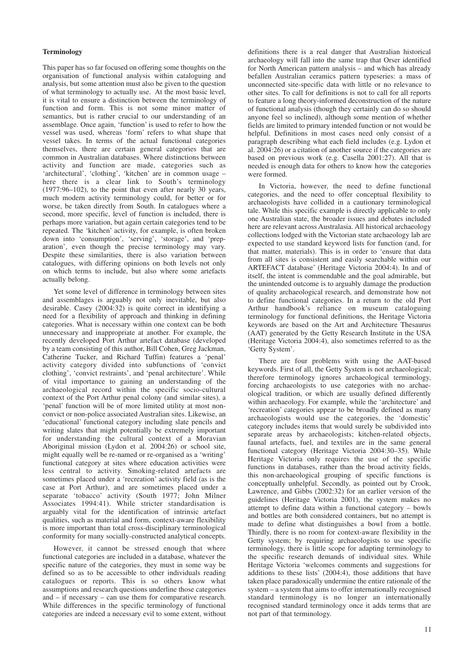#### **Terminology**

This paper has so far focused on offering some thoughts on the organisation of functional analysis within cataloguing and analysis, but some attention must also be given to the question of what terminology to actually use. At the most basic level, it is vital to ensure a distinction between the terminology of function and form. This is not some minor matter of semantics, but is rather crucial to our understanding of an assemblage. Once again, 'function' is used to refer to how the vessel was used, whereas 'form' refers to what shape that vessel takes. In terms of the actual functional categories themselves, there are certain general categories that are common in Australian databases. Where distinctions between activity and function are made, categories such as 'architectural', 'clothing', 'kitchen' are in common usage – here there is a clear link to South's terminology (1977:96–102), to the point that even after nearly 30 years, much modern activity terminology could, for better or for worse, be taken directly from South. In catalogues where a second, more specific, level of function is included, there is perhaps more variation, but again certain categories tend to be repeated. The 'kitchen' activity, for example, is often broken down into 'consumption', 'serving', 'storage', and 'preparation', even though the precise terminology may vary. Despite these similarities, there is also variation between catalogues, with differing opinions on both levels not only on which terms to include, but also where some artefacts actually belong.

Yet some level of difference in terminology between sites and assemblages is arguably not only inevitable, but also desirable. Casey (2004:32) is quite correct in identifying a need for a flexibility of approach and thinking in defining categories. What is necessary within one context can be both unnecessary and inappropriate at another. For example, the recently developed Port Arthur artefact database (developed by a team consisting of this author, Bill Cohen, Greg Jackman, Catherine Tucker, and Richard Tuffin) features a 'penal' activity category divided into subfunctions of 'convict clothing', 'convict restraints', and 'penal architecture'. While of vital importance to gaining an understanding of the archaeological record within the specific socio-cultural context of the Port Arthur penal colony (and similar sites), a 'penal' function will be of more limited utility at most nonconvict or non-police associated Australian sites. Likewise, an 'educational' functional category including slate pencils and writing slates that might potentially be extremely important for understanding the cultural context of a Moravian Aboriginal mission (Lydon et al. 2004:26) or school site, might equally well be re-named or re-organised as a 'writing' functional category at sites where education activities were less central to activity. Smoking-related artefacts are sometimes placed under a 'recreation' activity field (as is the case at Port Arthur), and are sometimes placed under a separate 'tobacco' activity (South 1977; John Milner Associates 1994:41). While stricter standardisation is arguably vital for the identification of intrinsic artefact qualities, such as material and form, context-aware flexibility is more important than total cross-disciplinary terminological conformity for many socially-constructed analytical concepts.

However, it cannot be stressed enough that where functional categories are included in a database, whatever the specific nature of the categories, they must in some way be defined so as to be accessible to other individuals reading catalogues or reports. This is so others know what assumptions and research questions underline those categories and – if necessary – can use them for comparative research. While differences in the specific terminology of functional categories are indeed a necessary evil to some extent, without definitions there is a real danger that Australian historical archaeology will fall into the same trap that Orser identified for North American pattern analysis – and which has already befallen Australian ceramics pattern typeseries: a mass of unconnected site-specific data with little or no relevance to other sites. To call for definitions is not to call for all reports to feature a long theory-informed deconstruction of the nature of functional analysis (though they certainly can do so should anyone feel so inclined), although some mention of whether fields are limited to primary intended function or not would be helpful. Definitions in most cases need only consist of a paragraph describing what each field includes (e.g. Lydon et al. 2004:26) or a citation of another source if the categories are based on previous work (e.g. Casella 2001:27). All that is needed is enough data for others to know how the categories were formed.

In Victoria, however, the need to define functional categories, and the need to offer conceptual flexibility to archaeologists have collided in a cautionary terminological tale. While this specific example is directly applicable to only one Australian state, the broader issues and debates included here are relevant across Australasia. All historical archaeology collections lodged with the Victorian state archaeology lab are expected to use standard keyword lists for function (and, for that matter, materials). This is in order to 'ensure that data from all sites is consistent and easily searchable within our ARTEFACT database' (Heritage Victoria 2004:4). In and of itself, the intent is commendable and the goal admirable, but the unintended outcome is to arguably damage the production of quality archaeological research, and demonstrate how not to define functional categories. In a return to the old Port Arthur handbook's reliance on museum cataloguing terminology for functional definitions, the Heritage Victoria keywords are based on the Art and Architecture Thesaurus (AAT) generated by the Getty Research Institute in the USA (Heritage Victoria 2004:4), also sometimes referred to as the 'Getty System'.

There are four problems with using the AAT-based keywords. First of all, the Getty System is not archaeological; therefore terminology ignores archaeological terminology, forcing archaeologists to use categories with no archaeological tradition, or which are usually defined differently within archaeology. For example, while the 'architecture' and 'recreation' categories appear to be broadly defined as many archaeologists would use the categories, the 'domestic' category includes items that would surely be subdivided into separate areas by archaeologists; kitchen-related objects, faunal artefacts, fuel, and textiles are in the same general functional category (Heritage Victoria 2004:30–35). While Heritage Victoria only requires the use of the specific functions in databases, rather than the broad activity fields, this non-archaeological grouping of specific functions is conceptually unhelpful. Secondly, as pointed out by Crook, Lawrence, and Gibbs (2002:32) for an earlier version of the guidelines (Heritage Victoria 2001), the system makes no attempt to define data within a functional category – bowls and bottles are both considered containers, but no attempt is made to define what distinguishes a bowl from a bottle. Thirdly, there is no room for context-aware flexibility in the Getty system; by requiring archaeologists to use specific terminology, there is little scope for adapting terminology to the specific research demands of individual sites. While Heritage Victoria 'welcomes comments and suggestions for additions to these lists' (2004:4), those additions that have taken place paradoxically undermine the entire rationale of the system – a system that aims to offer internationally recognised standard terminology is no longer an internationally recognised standard terminology once it adds terms that are not part of that terminology.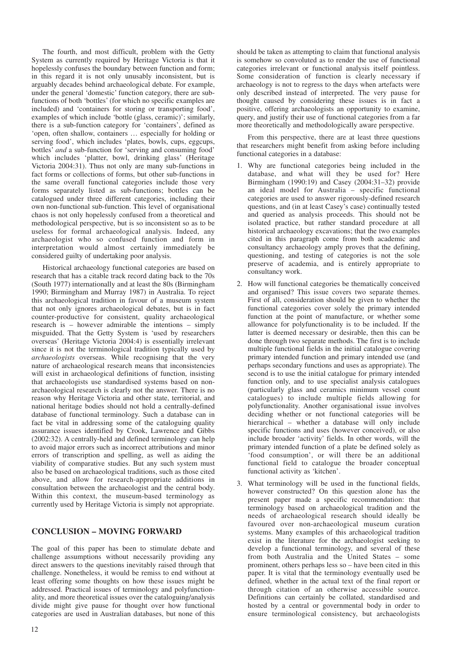The fourth, and most difficult, problem with the Getty System as currently required by Heritage Victoria is that it hopelessly confuses the boundary between function and form; in this regard it is not only unusably inconsistent, but is arguably decades behind archaeological debate. For example, under the general 'domestic' function category, there are subfunctions of both 'bottles' (for which no specific examples are included) and 'containers for storing or transporting food', examples of which include 'bottle (glass, ceramic)'; similarly, there is a sub-function category for 'containers', defined as 'open, often shallow, containers … especially for holding or serving food', which includes 'plates, bowls, cups, eggcups, bottles' *and* a sub-function for 'serving and consuming food' which includes 'platter, bowl, drinking glass' (Heritage Victoria 2004:31). Thus not only are many sub-functions in fact forms or collections of forms, but other sub-functions in the same overall functional categories include those very forms separately listed as sub-functions; bottles can be catalogued under three different categories, including their own non-functional sub-function. This level of organisational chaos is not only hopelessly confused from a theoretical and methodological perspective, but is so inconsistent so as to be useless for formal archaeological analysis. Indeed, any archaeologist who so confused function and form in interpretation would almost certainly immediately be considered guilty of undertaking poor analysis.

Historical archaeology functional categories are based on research that has a citable track record dating back to the 70s (South 1977) internationally and at least the 80s (Birmingham 1990; Birmingham and Murray 1987) in Australia. To reject this archaeological tradition in favour of a museum system that not only ignores archaeological debates, but is in fact counter-productive for consistent, quality archaeological research is – however admirable the intentions – simply misguided. That the Getty System is 'used by researchers overseas' (Heritage Victoria 2004:4) is essentially irrelevant since it is not the terminological tradition typically used by *archaeologists* overseas. While recognising that the very nature of archaeological research means that inconsistencies will exist in archaeological definitions of function, insisting that archaeologists use standardised systems based on nonarchaeological research is clearly not the answer. There is no reason why Heritage Victoria and other state, territorial, and national heritage bodies should not hold a centrally-defined database of functional terminology. Such a database can in fact be vital in addressing some of the cataloguing quality assurance issues identified by Crook, Lawrence and Gibbs (2002:32). A centrally-held and defined terminology can help to avoid major errors such as incorrect attributions and minor errors of transcription and spelling, as well as aiding the viability of comparative studies. But any such system must also be based on archaeological traditions, such as those cited above, and allow for research-appropriate additions in consultation between the archaeologist and the central body. Within this context, the museum-based terminology as currently used by Heritage Victoria is simply not appropriate.

## **CONCLUSION – MOVING FORWARD**

The goal of this paper has been to stimulate debate and challenge assumptions without necessarily providing any direct answers to the questions inevitably raised through that challenge. Nonetheless, it would be remiss to end without at least offering some thoughts on how these issues might be addressed. Practical issues of terminology and polyfunctionality, and more theoretical issues over the cataloguing/analysis divide might give pause for thought over how functional categories are used in Australian databases, but none of this should be taken as attempting to claim that functional analysis is somehow so convoluted as to render the use of functional categories irrelevant or functional analysis itself pointless. Some consideration of function is clearly necessary if archaeology is not to regress to the days when artefacts were only described instead of interpreted. The very pause for thought caused by considering these issues is in fact a positive, offering archaeologists an opportunity to examine, query, and justify their use of functional categories from a far more theoretically and methodologically aware perspective.

From this perspective, there are at least three questions that researchers might benefit from asking before including functional categories in a database:

- 1. Why are functional categories being included in the database, and what will they be used for? Here Birmingham (1990:19) and Casey (2004:31–32) provide an ideal model for Australia – specific functional categories are used to answer rigorously-defined research questions, and (in at least Casey's case) continually tested and queried as analysis proceeds. This should not be isolated practice, but rather standard procedure at all historical archaeology excavations; that the two examples cited in this paragraph come from both academic and consultancy archaeology amply proves that the defining, questioning, and testing of categories is not the sole preserve of academia, and is entirely appropriate to consultancy work.
- 2. How will functional categories be thematically conceived and organised? This issue covers two separate themes. First of all, consideration should be given to whether the functional categories cover solely the primary intended function at the point of manufacture, or whether some allowance for polyfunctionality is to be included. If the latter is deemed necessary or desirable, then this can be done through two separate methods. The first is to include multiple functional fields in the initial catalogue covering primary intended function and primary intended use (and perhaps secondary functions and uses as appropriate). The second is to use the initial catalogue for primary intended function only, and to use specialist analysis catalogues (particularly glass and ceramics minimum vessel count catalogues) to include multiple fields allowing for polyfunctionality. Another organisational issue involves deciding whether or not functional categories will be hierarchical – whether a database will only include specific functions and uses (however conceived), or also include broader 'activity' fields. In other words, will the primary intended function of a plate be defined solely as 'food consumption', or will there be an additional functional field to catalogue the broader conceptual functional activity as 'kitchen'.
- 3. What terminology will be used in the functional fields, however constructed? On this question alone has the present paper made a specific recommendation: that terminology based on archaeological tradition and the needs of archaeological research should ideally be favoured over non-archaeological museum curation systems. Many examples of this archaeological tradition exist in the literature for the archaeologist seeking to develop a functional terminology, and several of these from both Australia and the United States – some prominent, others perhaps less so – have been cited in this paper. It is vital that the terminology eventually used be defined, whether in the actual text of the final report or through citation of an otherwise accessible source. Definitions can certainly be collated, standardised and hosted by a central or governmental body in order to ensure terminological consistency, but archaeologists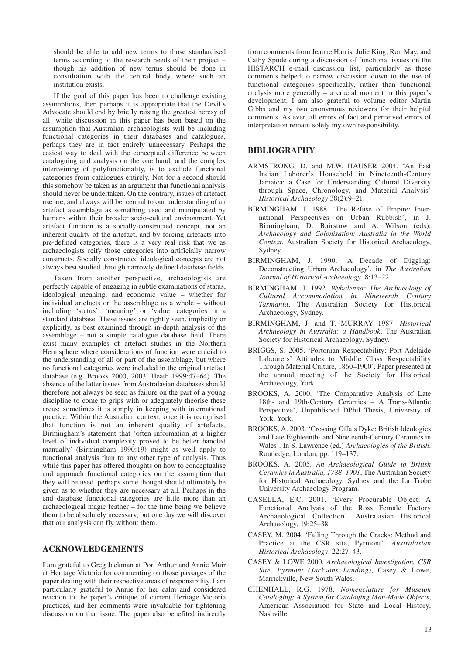should be able to add new terms to those standardised terms according to the research needs of their project – though his addition of new terms should be done in consultation with the central body where such an institution exists.

If the goal of this paper has been to challenge existing assumptions, then perhaps it is appropriate that the Devil's Advocate should end by briefly raising the greatest heresy of all: while discussion in this paper has been based on the assumption that Australian archaeologists will be including functional categories in their databases and catalogues, perhaps they are in fact entirely unnecessary. Perhaps the easiest way to deal with the conceptual difference between cataloguing and analysis on the one hand, and the complex intertwining of polyfunctionality, is to exclude functional categories from catalogues entirely. Not for a second should this somehow be taken as an argument that functional analysis should never be undertaken. On the contrary, issues of artefact use are, and always will be, central to our understanding of an artefact assemblage as something used and manipulated by humans within their broader socio-cultural environment. Yet artefact function is a socially-constructed concept, not an inherent quality of the artefact, and by forcing artefacts into pre-defined categories, there is a very real risk that we as archaeologists reify those categories into artificially narrow constructs. Socially constructed ideological concepts are not always best studied through narrowly defined database fields.

Taken from another perspective, archaeologists are perfectly capable of engaging in subtle examinations of status, ideological meaning, and economic value – whether for individual artefacts or the assemblage as a whole – without including 'status', 'meaning' or 'value' categories in a standard database. These issues are rightly seen, implicitly or explicitly, as best examined through in-depth analysis of the assemblage – not a simple catalogue database field. There exist many examples of artefact studies in the Northern Hemisphere where considerations of function were crucial to the understanding of all or part of the assemblage, but where no functional categories were included in the original artefact database (e.g. Brooks 2000, 2003; Heath 1999:47–64). The absence of the latter issues from Australasian databases should therefore not always be seen as failure on the part of a young discipline to come to grips with or adequately theorise these areas; sometimes it is simply in keeping with international practice. Within the Australian context, once it is recognised that function is not an inherent quality of artefacts, Birmingham's statement that 'often information at a higher level of individual complexity proved to be better handled manually' (Birmingham 1990:19) might as well apply to functional analysis than to any other type of analysis. Thus while this paper has offered thoughts on how to conceptualise and approach functional categories on the assumption that they will be used, perhaps some thought should ultimately be given as to whether they are necessary at all. Perhaps in the end database functional categories are little more than an archaeological magic feather – for the time being we believe them to be absolutely necessary, but one day we will discover that our analysis can fly without them.

## **ACKNOWLEDGEMENTS**

I am grateful to Greg Jackman at Port Arthur and Annie Muir at Heritage Victoria for commenting on those passages of the paper dealing with their respective areas of responsibility. I am particularly grateful to Annie for her calm and considered reaction to the paper's critique of current Heritage Victoria practices, and her comments were invaluable for tightening discussion on that issue. The paper also benefited indirectly

from comments from Jeanne Harris, Julie King, Ron May, and Cathy Spude during a discussion of functional issues on the HISTARCH e-mail discussion list, particularly as these comments helped to narrow discussion down to the use of functional categories specifically, rather than functional analysis more generally  $\overline{\phantom{a}}$  a crucial moment in this paper's development. I am also grateful to volume editor Martin Gibbs and my two anonymous reviewers for their helpful comments. As ever, all errors of fact and perceived errors of interpretation remain solely my own responsibility.

#### **BIBLIOGRAPHY**

- ARMSTRONG, D. and M.W. HAUSER 2004. 'An East Indian Laborer's Household in Nineteenth-Century Jamaica: a Case for Understanding Cultural Diversity through Space, Chronology, and Material Analysis' *Historical Archaeology* 38(2):9–21.
- BIRMINGHAM, J. 1988. 'The Refuse of Empire: International Perspectives on Urban Rubbish', in J. Birmingham, D. Bairstow and A. Wilson (eds), *Archaeology and Colonisation: Australia in the World Context*, Australian Society for Historical Archaeology, Sydney.
- BIRMINGHAM, J. 1990. 'A Decade of Digging: Deconstructing Urban Archaeology', in *The Australian Journal of Historical Archaeology*, 8:13–22.
- BIRMINGHAM, J. 1992. *Wybalenna: The Archaeology of Cultural Accommodation in Nineteenth Century Tasmania*, The Australian Society for Historical Archaeology, Sydney.
- BIRMINGHAM, J. and T. MURRAY 1987. *Historical Archaeology in Australia; a Handbook*, The Australian Society for Historical Archaeology, Sydney.
- BRIGGS, S. 2005. 'Portonian Respectability: Port Adelaide Labourers' Attitudes to Middle Class Respectability Through Material Culture, 1860–1900'. Paper presented at the annual meeting of the Society for Historical Archaeology, York.
- BROOKS, A. 2000. 'The Comparative Analysis of Late 18th- and 19th-Century Ceramics – A Trans-Atlantic Perspective', Unpublished DPhil Thesis, University of York, York.
- BROOKS, A. 2003. 'Crossing Offa's Dyke: British Ideologies and Late Eighteenth- and Nineteenth-Century Ceramics in Wales'. In S. Lawrence (ed.) *Archaeologies of the British*. Routledge, London, pp. 119–137.
- BROOKS, A. 2005. *An Archaeological Guide to British Ceramics in Australia, 1788–1901*, The Australian Society for Historical Archaeology, Sydney and the La Trobe University Archaeology Program.
- CASELLA, E.C. 2001. 'Every Procurable Object: A Functional Analysis of the Ross Female Factory Archaeological Collection'. Australasian Historical Archaeology, 19:25–38.
- CASEY, M. 2004. 'Falling Through the Cracks: Method and Practice at the CSR site, Pyrmont'. *Australasian Historical Archaeology*, 22:27–43.
- CASEY & LOWE 2000. *Archaeological Investigation, CSR Site, Pyrmont (Jacksons Landing)*, Casey & Lowe, Marrickville, New South Wales.
- CHENHALL, R.G. 1978. *Nomenclature for Museum Cataloging; A System for Cataloging Man-Made Objects*, American Association for State and Local History, Nashville.